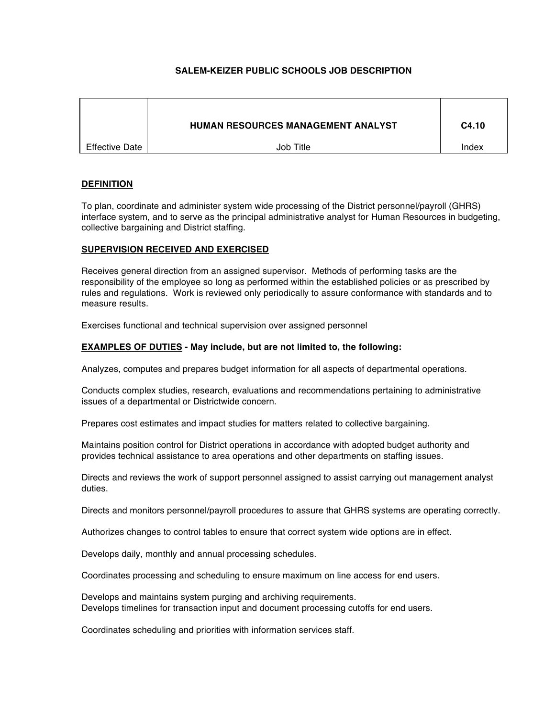# **SALEM-KEIZER PUBLIC SCHOOLS JOB DESCRIPTION**

|                | <b>HUMAN RESOURCES MANAGEMENT ANALYST</b> | C4.10 |
|----------------|-------------------------------------------|-------|
| Effective Date | Job Title                                 | Index |

# **DEFINITION**

To plan, coordinate and administer system wide processing of the District personnel/payroll (GHRS) interface system, and to serve as the principal administrative analyst for Human Resources in budgeting, collective bargaining and District staffing.

# **SUPERVISION RECEIVED AND EXERCISED**

Receives general direction from an assigned supervisor. Methods of performing tasks are the responsibility of the employee so long as performed within the established policies or as prescribed by rules and regulations. Work is reviewed only periodically to assure conformance with standards and to measure results.

Exercises functional and technical supervision over assigned personnel

# **EXAMPLES OF DUTIES - May include, but are not limited to, the following:**

Analyzes, computes and prepares budget information for all aspects of departmental operations.

Conducts complex studies, research, evaluations and recommendations pertaining to administrative issues of a departmental or Districtwide concern.

Prepares cost estimates and impact studies for matters related to collective bargaining.

Maintains position control for District operations in accordance with adopted budget authority and provides technical assistance to area operations and other departments on staffing issues.

Directs and reviews the work of support personnel assigned to assist carrying out management analyst duties.

Directs and monitors personnel/payroll procedures to assure that GHRS systems are operating correctly.

Authorizes changes to control tables to ensure that correct system wide options are in effect.

Develops daily, monthly and annual processing schedules.

Coordinates processing and scheduling to ensure maximum on line access for end users.

Develops and maintains system purging and archiving requirements. Develops timelines for transaction input and document processing cutoffs for end users.

Coordinates scheduling and priorities with information services staff.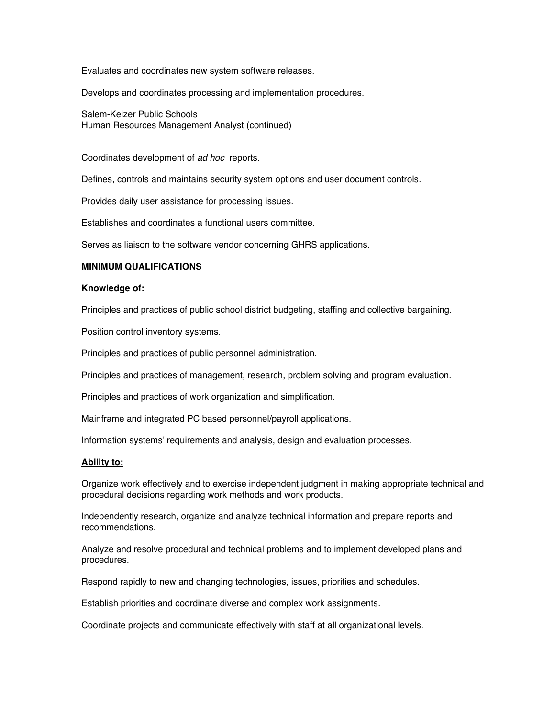Evaluates and coordinates new system software releases.

Develops and coordinates processing and implementation procedures.

Salem-Keizer Public Schools Human Resources Management Analyst (continued)

Coordinates development of *ad hoc* reports.

Defines, controls and maintains security system options and user document controls.

Provides daily user assistance for processing issues.

Establishes and coordinates a functional users committee.

Serves as liaison to the software vendor concerning GHRS applications.

## **MINIMUM QUALIFICATIONS**

## **Knowledge of:**

Principles and practices of public school district budgeting, staffing and collective bargaining.

Position control inventory systems.

Principles and practices of public personnel administration.

Principles and practices of management, research, problem solving and program evaluation.

Principles and practices of work organization and simplification.

Mainframe and integrated PC based personnel/payroll applications.

Information systems' requirements and analysis, design and evaluation processes.

## **Ability to:**

Organize work effectively and to exercise independent judgment in making appropriate technical and procedural decisions regarding work methods and work products.

Independently research, organize and analyze technical information and prepare reports and recommendations.

Analyze and resolve procedural and technical problems and to implement developed plans and procedures.

Respond rapidly to new and changing technologies, issues, priorities and schedules.

Establish priorities and coordinate diverse and complex work assignments.

Coordinate projects and communicate effectively with staff at all organizational levels.